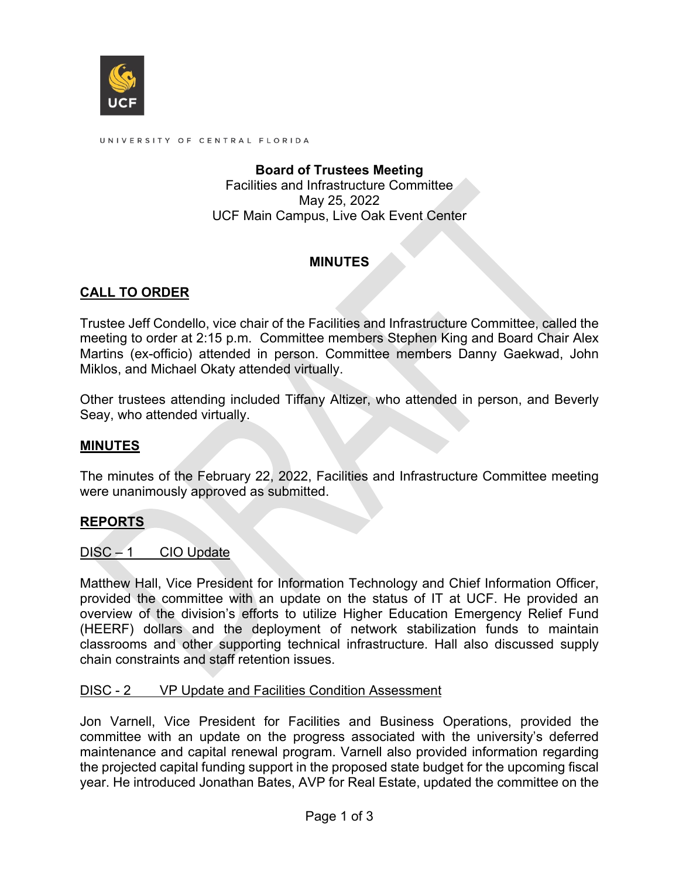

UNIVERSITY OF CENTRAL FLORIDA

## **Board of Trustees Meeting** Facilities and Infrastructure Committee May 25, 2022 UCF Main Campus, Live Oak Event Center

## **MINUTES**

# **CALL TO ORDER**

Trustee Jeff Condello, vice chair of the Facilities and Infrastructure Committee, called the meeting to order at 2:15 p.m. Committee members Stephen King and Board Chair Alex Martins (ex-officio) attended in person. Committee members Danny Gaekwad, John Miklos, and Michael Okaty attended virtually.

Other trustees attending included Tiffany Altizer, who attended in person, and Beverly Seay, who attended virtually.

## **MINUTES**

The minutes of the February 22, 2022, Facilities and Infrastructure Committee meeting were unanimously approved as submitted.

#### **REPORTS**

DISC – 1 CIO Update

Matthew Hall, Vice President for Information Technology and Chief Information Officer, provided the committee with an update on the status of IT at UCF. He provided an overview of the division's efforts to utilize Higher Education Emergency Relief Fund (HEERF) dollars and the deployment of network stabilization funds to maintain classrooms and other supporting technical infrastructure. Hall also discussed supply chain constraints and staff retention issues.

#### DISC - 2 VP Update and Facilities Condition Assessment

Jon Varnell, Vice President for Facilities and Business Operations, provided the committee with an update on the progress associated with the university's deferred maintenance and capital renewal program. Varnell also provided information regarding the projected capital funding support in the proposed state budget for the upcoming fiscal year. He introduced Jonathan Bates, AVP for Real Estate, updated the committee on the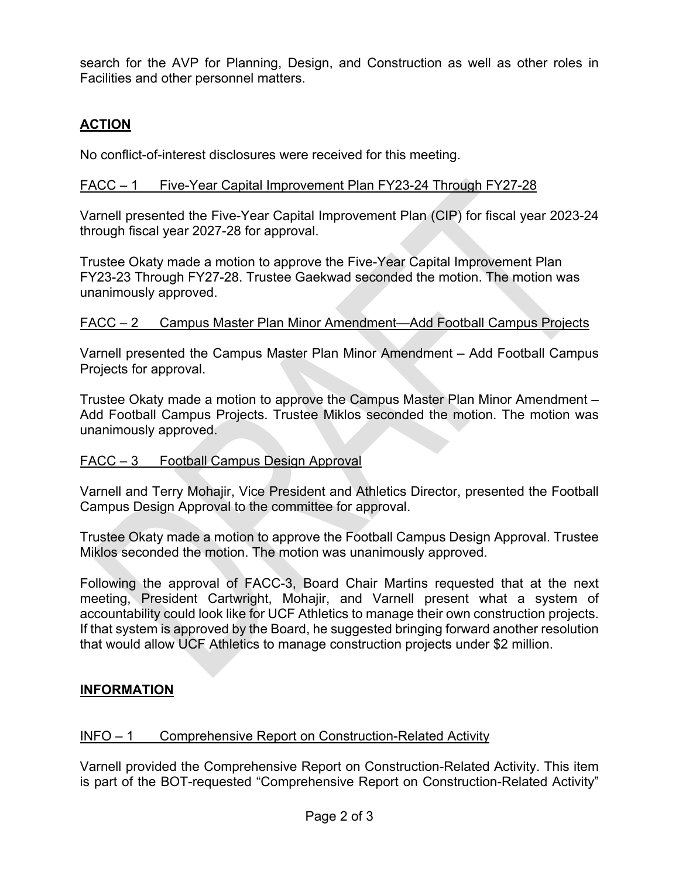search for the AVP for Planning, Design, and Construction as well as other roles in Facilities and other personnel matters.

# **ACTION**

No conflict-of-interest disclosures were received for this meeting.

## FACC – 1 Five-Year Capital Improvement Plan FY23-24 Through FY27-28

Varnell presented the Five-Year Capital Improvement Plan (CIP) for fiscal year 2023-24 through fiscal year 2027-28 for approval.

Trustee Okaty made a motion to approve the Five-Year Capital Improvement Plan FY23-23 Through FY27-28. Trustee Gaekwad seconded the motion. The motion was unanimously approved.

## FACC – 2 Campus Master Plan Minor Amendment—Add Football Campus Projects

Varnell presented the Campus Master Plan Minor Amendment – Add Football Campus Projects for approval.

Trustee Okaty made a motion to approve the Campus Master Plan Minor Amendment – Add Football Campus Projects. Trustee Miklos seconded the motion. The motion was unanimously approved.

## FACC – 3 Football Campus Design Approval

Varnell and Terry Mohajir, Vice President and Athletics Director, presented the Football Campus Design Approval to the committee for approval.

Trustee Okaty made a motion to approve the Football Campus Design Approval. Trustee Miklos seconded the motion. The motion was unanimously approved.

Following the approval of FACC-3, Board Chair Martins requested that at the next meeting, President Cartwright, Mohajir, and Varnell present what a system of accountability could look like for UCF Athletics to manage their own construction projects. If that system is approved by the Board, he suggested bringing forward another resolution that would allow UCF Athletics to manage construction projects under \$2 million.

## **INFORMATION**

#### INFO – 1 Comprehensive Report on Construction-Related Activity

Varnell provided the Comprehensive Report on Construction-Related Activity. This item is part of the BOT-requested "Comprehensive Report on Construction-Related Activity"